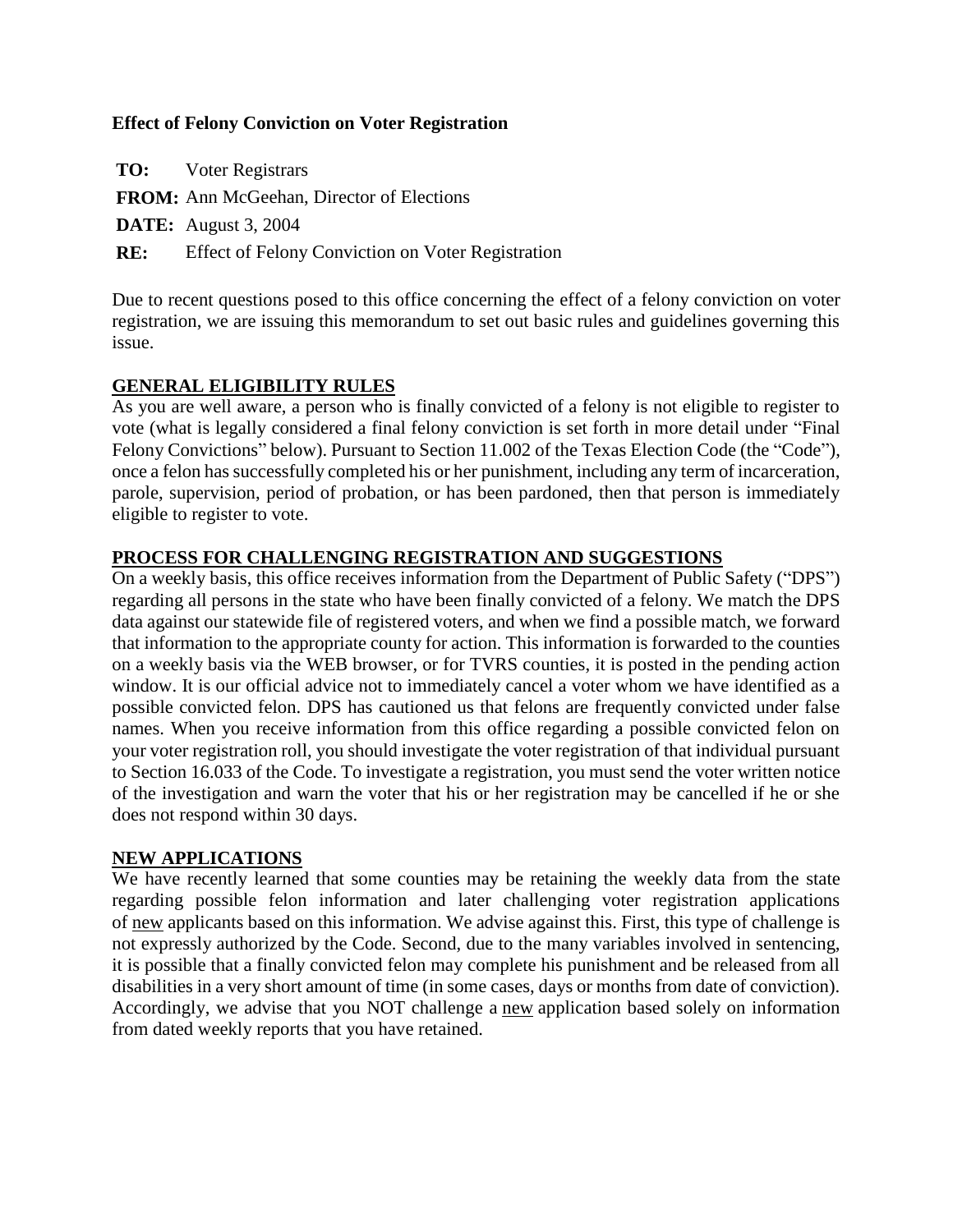## **Effect of Felony Conviction on Voter Registration**

**TO:** Voter Registrars

**FROM:** Ann McGeehan, Director of Elections

**DATE:** August 3, 2004

**RE:** Effect of Felony Conviction on Voter Registration

Due to recent questions posed to this office concerning the effect of a felony conviction on voter registration, we are issuing this memorandum to set out basic rules and guidelines governing this issue.

### **GENERAL ELIGIBILITY RULES**

As you are well aware, a person who is finally convicted of a felony is not eligible to register to vote (what is legally considered a final felony conviction is set forth in more detail under "Final Felony Convictions" below). Pursuant to Section 11.002 of the Texas Election Code (the "Code"), once a felon has successfully completed his or her punishment, including any term of incarceration, parole, supervision, period of probation, or has been pardoned, then that person is immediately eligible to register to vote.

## **PROCESS FOR CHALLENGING REGISTRATION AND SUGGESTIONS**

On a weekly basis, this office receives information from the Department of Public Safety ("DPS") regarding all persons in the state who have been finally convicted of a felony. We match the DPS data against our statewide file of registered voters, and when we find a possible match, we forward that information to the appropriate county for action. This information is forwarded to the counties on a weekly basis via the WEB browser, or for TVRS counties, it is posted in the pending action window. It is our official advice not to immediately cancel a voter whom we have identified as a possible convicted felon. DPS has cautioned us that felons are frequently convicted under false names. When you receive information from this office regarding a possible convicted felon on your voter registration roll, you should investigate the voter registration of that individual pursuant to Section 16.033 of the Code. To investigate a registration, you must send the voter written notice of the investigation and warn the voter that his or her registration may be cancelled if he or she does not respond within 30 days.

#### **NEW APPLICATIONS**

We have recently learned that some counties may be retaining the weekly data from the state regarding possible felon information and later challenging voter registration applications of new applicants based on this information. We advise against this. First, this type of challenge is not expressly authorized by the Code. Second, due to the many variables involved in sentencing, it is possible that a finally convicted felon may complete his punishment and be released from all disabilities in a very short amount of time (in some cases, days or months from date of conviction). Accordingly, we advise that you NOT challenge a new application based solely on information from dated weekly reports that you have retained.